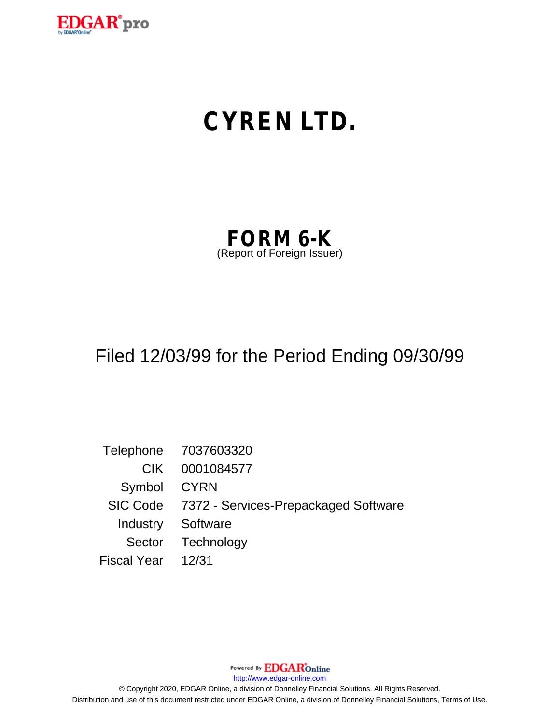

# **CYREN LTD.**

| <b>FORM 6-K</b>            |  |
|----------------------------|--|
| (Report of Foreign Issuer) |  |

## Filed 12/03/99 for the Period Ending 09/30/99

Telephone 7037603320 CIK 0001084577 Symbol CYRN SIC Code 7372 - Services-Prepackaged Software Industry Software Sector Technology Fiscal Year 12/31

Powered By **EDGAR**Online

http://www.edgar-online.com

© Copyright 2020, EDGAR Online, a division of Donnelley Financial Solutions. All Rights Reserved. Distribution and use of this document restricted under EDGAR Online, a division of Donnelley Financial Solutions, Terms of Use.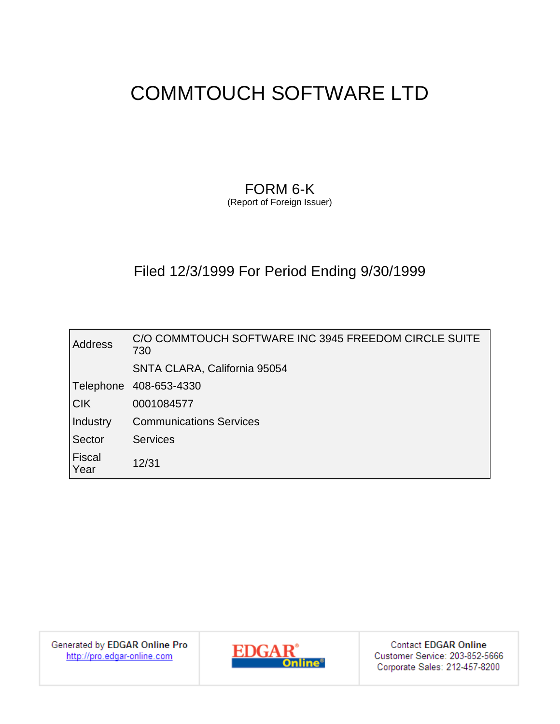### FORM 6-K

(Report of Foreign Issuer)

### Filed 12/3/1999 For Period Ending 9/30/1999

| Address               | C/O COMMTOUCH SOFTWARE INC 3945 FREEDOM CIRCLE SUITE<br>730 |
|-----------------------|-------------------------------------------------------------|
|                       | SNTA CLARA, California 95054                                |
| Telephone             | 408-653-4330                                                |
| $ C$ K                | 0001084577                                                  |
| Industry              | <b>Communications Services</b>                              |
| Sector                | <b>Services</b>                                             |
| <b>Fiscal</b><br>Year | 12/31                                                       |

Generated by EDGAR Online Pro http://pro.edgar-online.com



**Contact EDGAR Online** Customer Service: 203-852-5666 Corporate Sales: 212-457-8200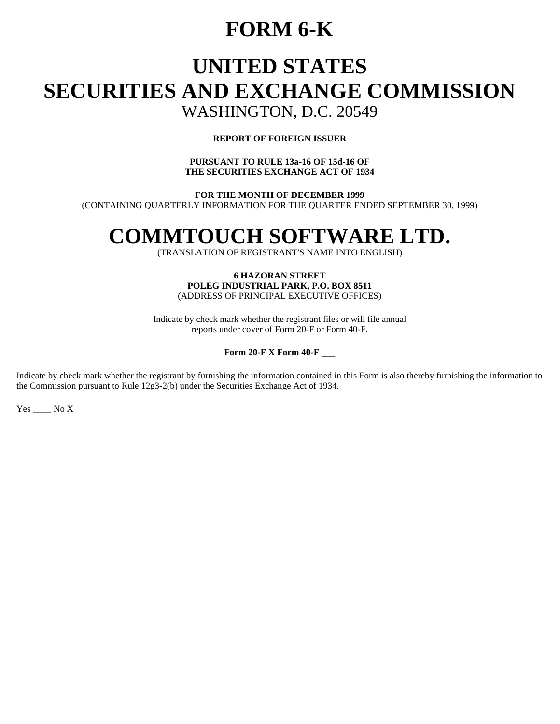## **FORM 6-K**

# **UNITED STATES SECURITIES AND EXCHANGE COMMISSION**

### WASHINGTON, D.C. 20549

#### **REPORT OF FOREIGN ISSUER**

#### **PURSUANT TO RULE 13a-16 OF 15d-16 OF THE SECURITIES EXCHANGE ACT OF 1934**

**FOR THE MONTH OF DECEMBER 1999**  (CONTAINING QUARTERLY INFORMATION FOR THE QUARTER ENDED SEPTEMBER 30, 1999)

# **COMMTOUCH SOFTWARE LTD.**

(TRANSLATION OF REGISTRANT'S NAME INTO ENGLISH)

#### **6 HAZORAN STREET POLEG INDUSTRIAL PARK, P.O. BOX 8511**  (ADDRESS OF PRINCIPAL EXECUTIVE OFFICES)

Indicate by check mark whether the registrant files or will file annual reports under cover of Form 20-F or Form 40-F.

#### **Form 20-F X Form 40-F \_\_\_**

Indicate by check mark whether the registrant by furnishing the information contained in this Form is also thereby furnishing the information to the Commission pursuant to Rule 12g3-2(b) under the Securities Exchange Act of 1934.

 $Yes$  \_\_\_\_ No X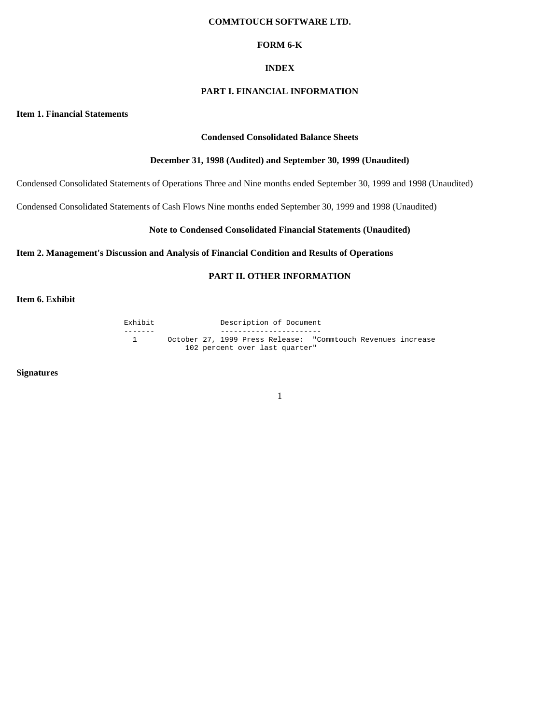#### **FORM 6-K**

#### **INDEX**

#### **PART I. FINANCIAL INFORMATION**

**Item 1. Financial Statements** 

#### **Condensed Consolidated Balance Sheets**

#### **December 31, 1998 (Audited) and September 30, 1999 (Unaudited)**

Condensed Consolidated Statements of Operations Three and Nine months ended September 30, 1999 and 1998 (Unaudited)

Condensed Consolidated Statements of Cash Flows Nine months ended September 30, 1999 and 1998 (Unaudited)

#### **Note to Condensed Consolidated Financial Statements (Unaudited)**

#### **Item 2. Management's Discussion and Analysis of Financial Condition and Results of Operations**

#### **PART II. OTHER INFORMATION**

**Item 6. Exhibit** 

Exhibit Description of Document ------- ----------------------- 1 October 27, 1999 Press Release: "Commtouch Revenues increase 102 percent over last quarter"

**Signatures**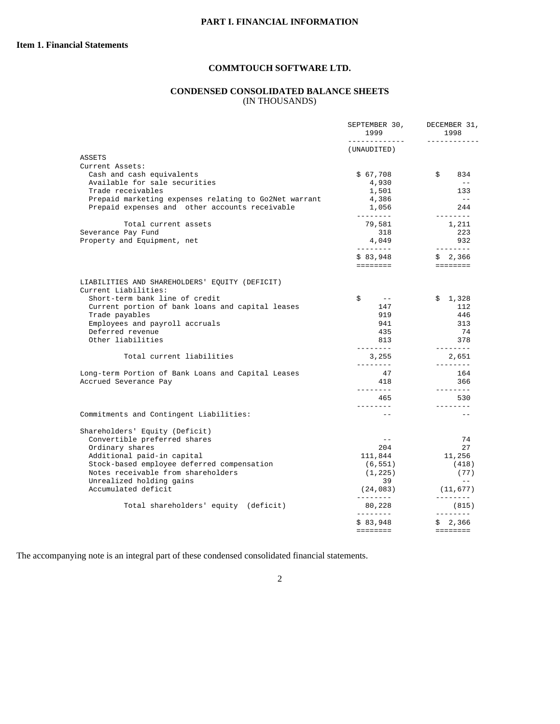#### **CONDENSED CONSOLIDATED BALANCE SHEETS**  (IN THOUSANDS)

|                                                                        | SEPTEMBER 30,<br>1999<br>------<br>______ | DECEMBER 31,<br>1998<br>$\frac{1}{2} \frac{1}{2} \frac{1}{2} \frac{1}{2} \frac{1}{2} \frac{1}{2} \frac{1}{2} \frac{1}{2} \frac{1}{2} \frac{1}{2} \frac{1}{2} \frac{1}{2} \frac{1}{2} \frac{1}{2} \frac{1}{2} \frac{1}{2} \frac{1}{2} \frac{1}{2} \frac{1}{2} \frac{1}{2} \frac{1}{2} \frac{1}{2} \frac{1}{2} \frac{1}{2} \frac{1}{2} \frac{1}{2} \frac{1}{2} \frac{1}{2} \frac{1}{2} \frac{1}{2} \frac{1}{2} \frac{$                                                                                        |
|------------------------------------------------------------------------|-------------------------------------------|-------------------------------------------------------------------------------------------------------------------------------------------------------------------------------------------------------------------------------------------------------------------------------------------------------------------------------------------------------------------------------------------------------------------------------------------------------------------------------------------------------------|
|                                                                        | (UNAUDITED)                               |                                                                                                                                                                                                                                                                                                                                                                                                                                                                                                             |
| ASSETS                                                                 |                                           |                                                                                                                                                                                                                                                                                                                                                                                                                                                                                                             |
| Current Assets:                                                        |                                           |                                                                                                                                                                                                                                                                                                                                                                                                                                                                                                             |
| Cash and cash equivalents                                              | \$67,708                                  | \$<br>834                                                                                                                                                                                                                                                                                                                                                                                                                                                                                                   |
| Available for sale securities                                          | 4,930                                     | $\sim$ $-$                                                                                                                                                                                                                                                                                                                                                                                                                                                                                                  |
| Trade receivables                                                      | 1,501                                     | 133<br>$- -$                                                                                                                                                                                                                                                                                                                                                                                                                                                                                                |
| Prepaid marketing expenses relating to Go2Net warrant                  | 4,386                                     |                                                                                                                                                                                                                                                                                                                                                                                                                                                                                                             |
| Prepaid expenses and other accounts receivable                         | 1,056<br>---------                        | 244<br>$\frac{1}{2} \frac{1}{2} \frac{1}{2} \frac{1}{2} \frac{1}{2} \frac{1}{2} \frac{1}{2} \frac{1}{2} \frac{1}{2} \frac{1}{2} \frac{1}{2} \frac{1}{2} \frac{1}{2} \frac{1}{2} \frac{1}{2} \frac{1}{2} \frac{1}{2} \frac{1}{2} \frac{1}{2} \frac{1}{2} \frac{1}{2} \frac{1}{2} \frac{1}{2} \frac{1}{2} \frac{1}{2} \frac{1}{2} \frac{1}{2} \frac{1}{2} \frac{1}{2} \frac{1}{2} \frac{1}{2} \frac{$                                                                                                         |
| Total current assets                                                   | 79,581                                    | 1,211                                                                                                                                                                                                                                                                                                                                                                                                                                                                                                       |
| Severance Pay Fund                                                     | 318                                       | 223                                                                                                                                                                                                                                                                                                                                                                                                                                                                                                         |
| Property and Equipment, net                                            | 4,049                                     | 932                                                                                                                                                                                                                                                                                                                                                                                                                                                                                                         |
|                                                                        | ---------                                 | $\begin{array}{cccccccccccccc} \multicolumn{2}{c}{} & \multicolumn{2}{c}{} & \multicolumn{2}{c}{} & \multicolumn{2}{c}{} & \multicolumn{2}{c}{} & \multicolumn{2}{c}{} & \multicolumn{2}{c}{} & \multicolumn{2}{c}{} & \multicolumn{2}{c}{} & \multicolumn{2}{c}{} & \multicolumn{2}{c}{} & \multicolumn{2}{c}{} & \multicolumn{2}{c}{} & \multicolumn{2}{c}{} & \multicolumn{2}{c}{} & \multicolumn{2}{c}{} & \multicolumn{2}{c}{} & \multicolumn{2}{c}{} & \multicolumn{2}{c}{} & \$                      |
|                                                                        | \$83,948                                  | \$2,366                                                                                                                                                                                                                                                                                                                                                                                                                                                                                                     |
|                                                                        | ========                                  | $\qquad \qquad \equiv \equiv \equiv \equiv \equiv \equiv \equiv \equiv$                                                                                                                                                                                                                                                                                                                                                                                                                                     |
| LIABILITIES AND SHAREHOLDERS' EQUITY (DEFICIT)<br>Current Liabilities: |                                           |                                                                                                                                                                                                                                                                                                                                                                                                                                                                                                             |
| Short-term bank line of credit                                         | \$<br>$- -$                               | \$1,328                                                                                                                                                                                                                                                                                                                                                                                                                                                                                                     |
| Current portion of bank loans and capital leases                       | 147                                       | 112                                                                                                                                                                                                                                                                                                                                                                                                                                                                                                         |
| Trade payables                                                         | 919                                       | 446                                                                                                                                                                                                                                                                                                                                                                                                                                                                                                         |
| Employees and payroll accruals                                         | 941                                       | 313                                                                                                                                                                                                                                                                                                                                                                                                                                                                                                         |
| Deferred revenue                                                       | 435                                       | 74                                                                                                                                                                                                                                                                                                                                                                                                                                                                                                          |
| Other liabilities                                                      | 813                                       | 378                                                                                                                                                                                                                                                                                                                                                                                                                                                                                                         |
| Total current liabilities                                              | ---------<br>3,255<br>---------           | $\begin{array}{cccccccccc} \multicolumn{2}{c}{} & \multicolumn{2}{c}{} & \multicolumn{2}{c}{} & \multicolumn{2}{c}{} & \multicolumn{2}{c}{} & \multicolumn{2}{c}{} & \multicolumn{2}{c}{} & \multicolumn{2}{c}{} & \multicolumn{2}{c}{} & \multicolumn{2}{c}{} & \multicolumn{2}{c}{} & \multicolumn{2}{c}{} & \multicolumn{2}{c}{} & \multicolumn{2}{c}{} & \multicolumn{2}{c}{} & \multicolumn{2}{c}{} & \multicolumn{2}{c}{} & \multicolumn{2}{c}{} & \multicolumn{2}{c}{} & \mult$<br>2,651<br>-------- |
| Long-term Portion of Bank Loans and Capital Leases                     | 47                                        | 164                                                                                                                                                                                                                                                                                                                                                                                                                                                                                                         |
| Accrued Severance Pay                                                  | 418                                       | 366                                                                                                                                                                                                                                                                                                                                                                                                                                                                                                         |
|                                                                        | ---------                                 | ________                                                                                                                                                                                                                                                                                                                                                                                                                                                                                                    |
|                                                                        | 465                                       | 530                                                                                                                                                                                                                                                                                                                                                                                                                                                                                                         |
|                                                                        | ________                                  | ________                                                                                                                                                                                                                                                                                                                                                                                                                                                                                                    |
| Commitments and Contingent Liabilities:                                | $\frac{1}{2}$                             | $=$ $-$                                                                                                                                                                                                                                                                                                                                                                                                                                                                                                     |
|                                                                        |                                           |                                                                                                                                                                                                                                                                                                                                                                                                                                                                                                             |
| Shareholders' Equity (Deficit)<br>Convertible preferred shares         | $- -$                                     | 74                                                                                                                                                                                                                                                                                                                                                                                                                                                                                                          |
| Ordinary shares                                                        | 204                                       | 27                                                                                                                                                                                                                                                                                                                                                                                                                                                                                                          |
| Additional paid-in capital                                             | 111,844                                   | 11,256                                                                                                                                                                                                                                                                                                                                                                                                                                                                                                      |
| Stock-based employee deferred compensation                             | (6, 551)                                  | (418)                                                                                                                                                                                                                                                                                                                                                                                                                                                                                                       |
| Notes receivable from shareholders                                     | (1, 225)                                  | (77)                                                                                                                                                                                                                                                                                                                                                                                                                                                                                                        |
| Unrealized holding gains                                               | 39                                        | $ -$                                                                                                                                                                                                                                                                                                                                                                                                                                                                                                        |
| Accumulated deficit                                                    | (24, 083)                                 | (11, 677)                                                                                                                                                                                                                                                                                                                                                                                                                                                                                                   |
|                                                                        | ---------                                 | ---------                                                                                                                                                                                                                                                                                                                                                                                                                                                                                                   |
| Total shareholders' equity (deficit)                                   | 80,228<br>--------                        | (815)<br>$- - - - - - - -$                                                                                                                                                                                                                                                                                                                                                                                                                                                                                  |
|                                                                        | \$83,948                                  | \$2,366                                                                                                                                                                                                                                                                                                                                                                                                                                                                                                     |
|                                                                        | <b>EEEEEEEE</b>                           | ========                                                                                                                                                                                                                                                                                                                                                                                                                                                                                                    |

The accompanying note is an integral part of these condensed consolidated financial statements.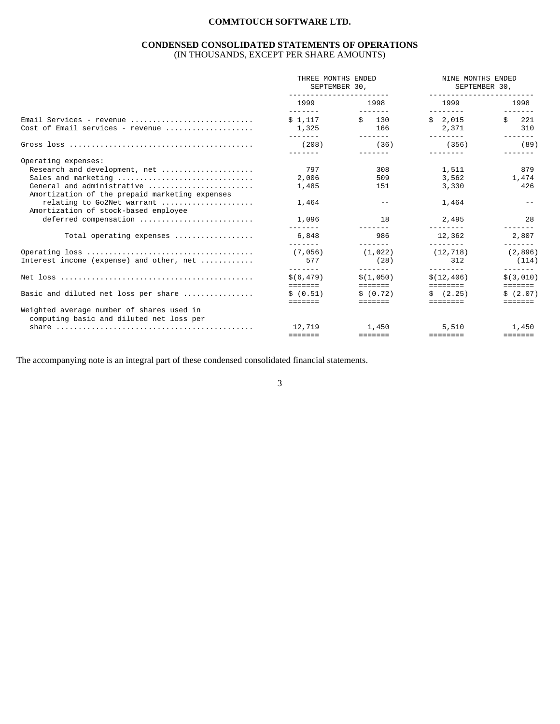#### **CONDENSED CONSOLIDATED STATEMENTS OF OPERATIONS**  (IN THOUSANDS, EXCEPT PER SHARE AMOUNTS)

|                                                                                             | THREE MONTHS ENDED<br>SEPTEMBER 30,<br>_______________________   |                                                    | NINE MONTHS ENDED<br>SEPTEMBER 30,<br>_________________ |                                                    |  |
|---------------------------------------------------------------------------------------------|------------------------------------------------------------------|----------------------------------------------------|---------------------------------------------------------|----------------------------------------------------|--|
|                                                                                             | 1999<br>$\frac{1}{2}$                                            | 1998<br>$\frac{1}{2}$                              | 1999<br>--------                                        | 1998<br>-------                                    |  |
| Email Services - revenue                                                                    | \$1.117                                                          | $\sin 130$                                         | \$2.015                                                 | Ŝ.<br>221                                          |  |
| Cost of Email services - revenue                                                            | 1,325<br>-------                                                 | 166                                                | 2,371<br>$- - - - - - - -$                              | 310<br>--------                                    |  |
|                                                                                             | (208)<br>-------                                                 | (36)                                               | (356)<br>--------                                       | (89)                                               |  |
| Operating expenses:                                                                         |                                                                  |                                                    |                                                         |                                                    |  |
| Research and development, net                                                               | 797                                                              | 308                                                | 1,511                                                   | 879                                                |  |
| Sales and marketing                                                                         | 2,006                                                            | 509                                                | 3,562                                                   | 1,474                                              |  |
| General and administrative                                                                  | 1,485                                                            | 151                                                | 3,330                                                   | 426                                                |  |
| Amortization of the prepaid marketing expenses                                              |                                                                  |                                                    |                                                         |                                                    |  |
| relating to Go2Net warrant                                                                  | 1,464                                                            |                                                    | 1,464                                                   |                                                    |  |
| Amortization of stock-based employee                                                        |                                                                  |                                                    |                                                         |                                                    |  |
| deferred compensation                                                                       | 1,096<br>--------                                                | 18                                                 | 2,495<br>$- - - - - - - -$                              | 28                                                 |  |
| Total operating expenses                                                                    | 6,848<br>--------                                                | 986<br>--------                                    | 12.362<br>---------                                     | 2,807                                              |  |
|                                                                                             | (7.056)                                                          | (1.022)                                            | (12, 718)                                               | -------<br>(2, 896)                                |  |
| Interest income (expense) and other, net                                                    | 577                                                              | (28)                                               | 312                                                     | (114)                                              |  |
|                                                                                             | -------<br>\$ (6.479)                                            | --------<br>\$(1.050)                              | $- - - - - - - -$<br>\$(12, 406)                        | -------<br>\$ (3,010)                              |  |
|                                                                                             | $=$ = = = = = =                                                  | <b>EEEEEEE</b>                                     | eeeeeee.                                                | <b>EEEEEEE</b>                                     |  |
| Basic and diluted net loss per share                                                        | \$ (0.51)                                                        | \$ (0.72)                                          | $\sin(2.25)$                                            | \$(2.07)                                           |  |
|                                                                                             | -------                                                          | -------                                            | ========                                                | =======                                            |  |
| Weighted average number of shares used in<br>computing basic and diluted net loss per       |                                                                  |                                                    |                                                         |                                                    |  |
| share $\ldots \ldots \ldots \ldots \ldots \ldots \ldots \ldots \ldots \ldots \ldots \ldots$ | 12,719                                                           | 1,450                                              | 5.510                                                   | 1,450                                              |  |
|                                                                                             | $\qquad \qquad \equiv \equiv \equiv \equiv \equiv \equiv \equiv$ | $\equiv \equiv \equiv \equiv \equiv \equiv \equiv$ | <b>EEEEEEEE</b>                                         | $\equiv \equiv \equiv \equiv \equiv \equiv \equiv$ |  |

The accompanying note is an integral part of these condensed consolidated financial statements.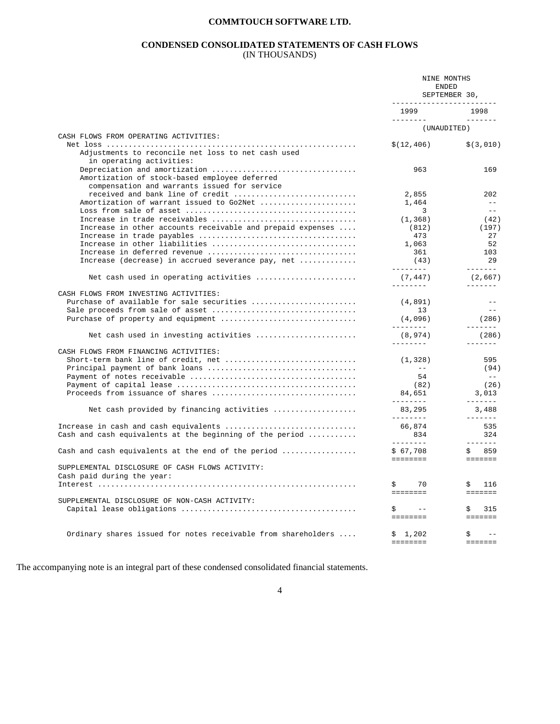#### **CONDENSED CONSOLIDATED STATEMENTS OF CASH FLOWS**  (IN THOUSANDS)

|                                                                                 | NINE MONTHS<br>ENDED<br>SEPTEMBER 30,<br>_________________________ |                                                                                                                                                                                                                                                                                                                                                                                                                                                                                                 |
|---------------------------------------------------------------------------------|--------------------------------------------------------------------|-------------------------------------------------------------------------------------------------------------------------------------------------------------------------------------------------------------------------------------------------------------------------------------------------------------------------------------------------------------------------------------------------------------------------------------------------------------------------------------------------|
|                                                                                 | 1999                                                               | 1998                                                                                                                                                                                                                                                                                                                                                                                                                                                                                            |
|                                                                                 | ----------<br>(UNAUDITED)                                          |                                                                                                                                                                                                                                                                                                                                                                                                                                                                                                 |
| CASH FLOWS FROM OPERATING ACTIVITIES:                                           |                                                                    |                                                                                                                                                                                                                                                                                                                                                                                                                                                                                                 |
| Adjustments to reconcile net loss to net cash used<br>in operating activities:  | \$(12, 406)                                                        | \$(3,010)                                                                                                                                                                                                                                                                                                                                                                                                                                                                                       |
| Amortization of stock-based employee deferred                                   | 963                                                                | 169                                                                                                                                                                                                                                                                                                                                                                                                                                                                                             |
| compensation and warrants issued for service                                    |                                                                    |                                                                                                                                                                                                                                                                                                                                                                                                                                                                                                 |
| received and bank line of credit<br>Amortization of warrant issued to Go2Net    | 2,855<br>1,464                                                     | 202<br>$\frac{1}{2}$                                                                                                                                                                                                                                                                                                                                                                                                                                                                            |
|                                                                                 | $\overline{\mathbf{3}}$                                            | $\frac{1}{2}$                                                                                                                                                                                                                                                                                                                                                                                                                                                                                   |
| Increase in trade receivables                                                   | (1, 368)                                                           | (42)                                                                                                                                                                                                                                                                                                                                                                                                                                                                                            |
| Increase in other accounts receivable and prepaid expenses                      | (812)                                                              | (197)                                                                                                                                                                                                                                                                                                                                                                                                                                                                                           |
|                                                                                 | 473                                                                | 27                                                                                                                                                                                                                                                                                                                                                                                                                                                                                              |
| Increase in other liabilities                                                   | 1,063                                                              | 52                                                                                                                                                                                                                                                                                                                                                                                                                                                                                              |
|                                                                                 | 361                                                                | 103                                                                                                                                                                                                                                                                                                                                                                                                                                                                                             |
| Increase (decrease) in accrued severance pay, net                               | (43)<br><u>________</u>                                            | 29<br>$\begin{array}{cccccccccc} \multicolumn{2}{c}{} & \multicolumn{2}{c}{} & \multicolumn{2}{c}{} & \multicolumn{2}{c}{} & \multicolumn{2}{c}{} & \multicolumn{2}{c}{} & \multicolumn{2}{c}{} & \multicolumn{2}{c}{} & \multicolumn{2}{c}{} & \multicolumn{2}{c}{} & \multicolumn{2}{c}{} & \multicolumn{2}{c}{} & \multicolumn{2}{c}{} & \multicolumn{2}{c}{} & \multicolumn{2}{c}{} & \multicolumn{2}{c}{} & \multicolumn{2}{c}{} & \multicolumn{2}{c}{} & \multicolumn{2}{c}{} & \mult$    |
| Net cash used in operating activities                                           | (7, 447)<br>---------                                              | (2,667)                                                                                                                                                                                                                                                                                                                                                                                                                                                                                         |
| CASH FLOWS FROM INVESTING ACTIVITIES:                                           |                                                                    |                                                                                                                                                                                                                                                                                                                                                                                                                                                                                                 |
| Purchase of available for sale securities                                       | (4, 891)                                                           | $- -$                                                                                                                                                                                                                                                                                                                                                                                                                                                                                           |
|                                                                                 | 13                                                                 | $\sim$ $ \sim$                                                                                                                                                                                                                                                                                                                                                                                                                                                                                  |
|                                                                                 | (4,096)<br>--------                                                | (286)<br>$- - - - - - -$                                                                                                                                                                                                                                                                                                                                                                                                                                                                        |
| Net cash used in investing activities                                           | (8, 974)<br>---------                                              | (286)<br>--------                                                                                                                                                                                                                                                                                                                                                                                                                                                                               |
| CASH FLOWS FROM FINANCING ACTIVITIES:                                           |                                                                    |                                                                                                                                                                                                                                                                                                                                                                                                                                                                                                 |
| Short-term bank line of credit, net                                             | (1, 328)                                                           | 595                                                                                                                                                                                                                                                                                                                                                                                                                                                                                             |
| Principal payment of bank loans                                                 | $\sim$ 100 $-$ 100 $-$                                             | (94)                                                                                                                                                                                                                                                                                                                                                                                                                                                                                            |
|                                                                                 | 54                                                                 | $\sim$ $-$                                                                                                                                                                                                                                                                                                                                                                                                                                                                                      |
|                                                                                 | (82)                                                               | (26)                                                                                                                                                                                                                                                                                                                                                                                                                                                                                            |
| Proceeds from issuance of shares                                                | 84,651<br><b>Laurence</b>                                          | 3,013<br>$\begin{array}{cccccccccc} \multicolumn{2}{c}{} & \multicolumn{2}{c}{} & \multicolumn{2}{c}{} & \multicolumn{2}{c}{} & \multicolumn{2}{c}{} & \multicolumn{2}{c}{} & \multicolumn{2}{c}{} & \multicolumn{2}{c}{} & \multicolumn{2}{c}{} & \multicolumn{2}{c}{} & \multicolumn{2}{c}{} & \multicolumn{2}{c}{} & \multicolumn{2}{c}{} & \multicolumn{2}{c}{} & \multicolumn{2}{c}{} & \multicolumn{2}{c}{} & \multicolumn{2}{c}{} & \multicolumn{2}{c}{} & \multicolumn{2}{c}{} & \mult$ |
| Net cash provided by financing activities                                       | 83,295<br>________                                                 | 3,488<br>--------                                                                                                                                                                                                                                                                                                                                                                                                                                                                               |
|                                                                                 | 66,874                                                             | 535                                                                                                                                                                                                                                                                                                                                                                                                                                                                                             |
| Cash and cash equivalents at the beginning of the period $\ldots \ldots \ldots$ | 834<br>---------                                                   | 324<br>-------                                                                                                                                                                                                                                                                                                                                                                                                                                                                                  |
| Cash and cash equivalents at the end of the period                              | \$67,708<br><b>EEEEEEE</b>                                         | \$859<br>$=$ = = = = = =                                                                                                                                                                                                                                                                                                                                                                                                                                                                        |
| SUPPLEMENTAL DISCLOSURE OF CASH FLOWS ACTIVITY:<br>Cash paid during the year:   |                                                                    |                                                                                                                                                                                                                                                                                                                                                                                                                                                                                                 |
|                                                                                 | S.<br>70<br>========                                               | \$<br>116<br>$\qquad \qquad \equiv \equiv \equiv \equiv \equiv \equiv \equiv$                                                                                                                                                                                                                                                                                                                                                                                                                   |
| SUPPLEMENTAL DISCLOSURE OF NON-CASH ACTIVITY:                                   |                                                                    |                                                                                                                                                                                                                                                                                                                                                                                                                                                                                                 |
|                                                                                 | \$<br>$\sim$ $ -$                                                  | Š.<br>315                                                                                                                                                                                                                                                                                                                                                                                                                                                                                       |
|                                                                                 | ========                                                           | $\qquad \qquad \equiv \equiv \equiv \equiv \equiv \equiv \equiv$                                                                                                                                                                                                                                                                                                                                                                                                                                |
| Ordinary shares issued for notes receivable from shareholders                   | \$1,202                                                            | \$                                                                                                                                                                                                                                                                                                                                                                                                                                                                                              |
|                                                                                 | ========                                                           | $=$ $=$ $=$ $=$ $=$ $=$                                                                                                                                                                                                                                                                                                                                                                                                                                                                         |

The accompanying note is an integral part of these condensed consolidated financial statements.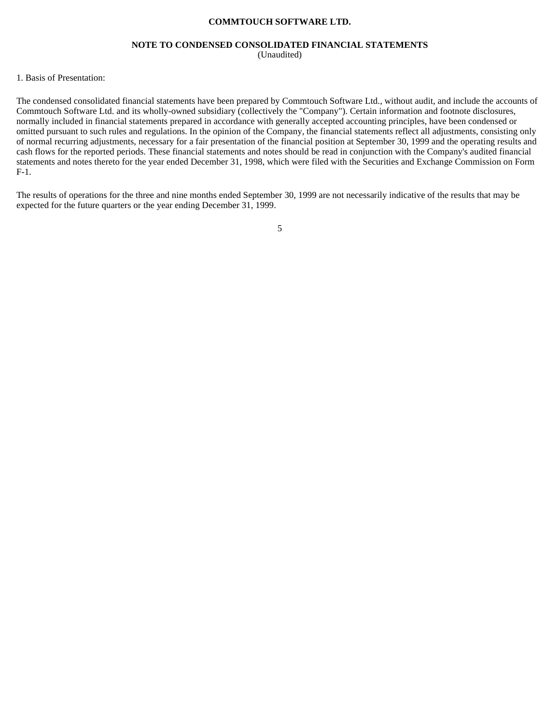#### **NOTE TO CONDENSED CONSOLIDATED FINANCIAL STATEMENTS**  (Unaudited)

#### 1. Basis of Presentation:

The condensed consolidated financial statements have been prepared by Commtouch Software Ltd., without audit, and include the accounts of Commtouch Software Ltd. and its wholly-owned subsidiary (collectively the "Company"). Certain information and footnote disclosures, normally included in financial statements prepared in accordance with generally accepted accounting principles, have been condensed or omitted pursuant to such rules and regulations. In the opinion of the Company, the financial statements reflect all adjustments, consisting only of normal recurring adjustments, necessary for a fair presentation of the financial position at September 30, 1999 and the operating results and cash flows for the reported periods. These financial statements and notes should be read in conjunction with the Company's audited financial statements and notes thereto for the year ended December 31, 1998, which were filed with the Securities and Exchange Commission on Form F-1.

The results of operations for the three and nine months ended September 30, 1999 are not necessarily indicative of the results that may be expected for the future quarters or the year ending December 31, 1999.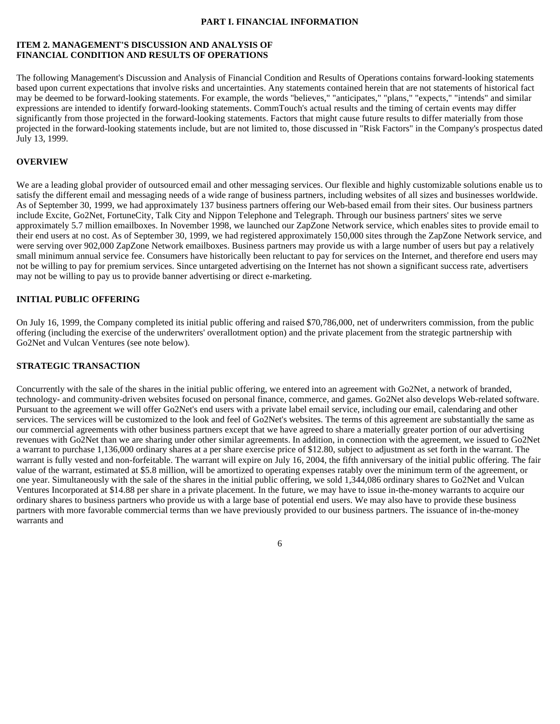#### **PART I. FINANCIAL INFORMATION**

#### **ITEM 2. MANAGEMENT'S DISCUSSION AND ANALYSIS OF FINANCIAL CONDITION AND RESULTS OF OPERATIONS**

The following Management's Discussion and Analysis of Financial Condition and Results of Operations contains forward-looking statements based upon current expectations that involve risks and uncertainties. Any statements contained herein that are not statements of historical fact may be deemed to be forward-looking statements. For example, the words "believes," "anticipates," "plans," "expects," "intends" and similar expressions are intended to identify forward-looking statements. CommTouch's actual results and the timing of certain events may differ significantly from those projected in the forward-looking statements. Factors that might cause future results to differ materially from those projected in the forward-looking statements include, but are not limited to, those discussed in "Risk Factors" in the Company's prospectus dated July 13, 1999.

#### **OVERVIEW**

We are a leading global provider of outsourced email and other messaging services. Our flexible and highly customizable solutions enable us to satisfy the different email and messaging needs of a wide range of business partners, including websites of all sizes and businesses worldwide. As of September 30, 1999, we had approximately 137 business partners offering our Web-based email from their sites. Our business partners include Excite, Go2Net, FortuneCity, Talk City and Nippon Telephone and Telegraph. Through our business partners' sites we serve approximately 5.7 million emailboxes. In November 1998, we launched our ZapZone Network service, which enables sites to provide email to their end users at no cost. As of September 30, 1999, we had registered approximately 150,000 sites through the ZapZone Network service, and were serving over 902,000 ZapZone Network emailboxes. Business partners may provide us with a large number of users but pay a relatively small minimum annual service fee. Consumers have historically been reluctant to pay for services on the Internet, and therefore end users may not be willing to pay for premium services. Since untargeted advertising on the Internet has not shown a significant success rate, advertisers may not be willing to pay us to provide banner advertising or direct e-marketing.

#### **INITIAL PUBLIC OFFERING**

On July 16, 1999, the Company completed its initial public offering and raised \$70,786,000, net of underwriters commission, from the public offering (including the exercise of the underwriters' overallotment option) and the private placement from the strategic partnership with Go2Net and Vulcan Ventures (see note below).

#### **STRATEGIC TRANSACTION**

Concurrently with the sale of the shares in the initial public offering, we entered into an agreement with Go2Net, a network of branded, technology- and community-driven websites focused on personal finance, commerce, and games. Go2Net also develops Web-related software. Pursuant to the agreement we will offer Go2Net's end users with a private label email service, including our email, calendaring and other services. The services will be customized to the look and feel of Go2Net's websites. The terms of this agreement are substantially the same as our commercial agreements with other business partners except that we have agreed to share a materially greater portion of our advertising revenues with Go2Net than we are sharing under other similar agreements. In addition, in connection with the agreement, we issued to Go2Net a warrant to purchase 1,136,000 ordinary shares at a per share exercise price of \$12.80, subject to adjustment as set forth in the warrant. The warrant is fully vested and non-forfeitable. The warrant will expire on July 16, 2004, the fifth anniversary of the initial public offering. The fair value of the warrant, estimated at \$5.8 million, will be amortized to operating expenses ratably over the minimum term of the agreement, or one year. Simultaneously with the sale of the shares in the initial public offering, we sold 1,344,086 ordinary shares to Go2Net and Vulcan Ventures Incorporated at \$14.88 per share in a private placement. In the future, we may have to issue in-the-money warrants to acquire our ordinary shares to business partners who provide us with a large base of potential end users. We may also have to provide these business partners with more favorable commercial terms than we have previously provided to our business partners. The issuance of in-the-money warrants and

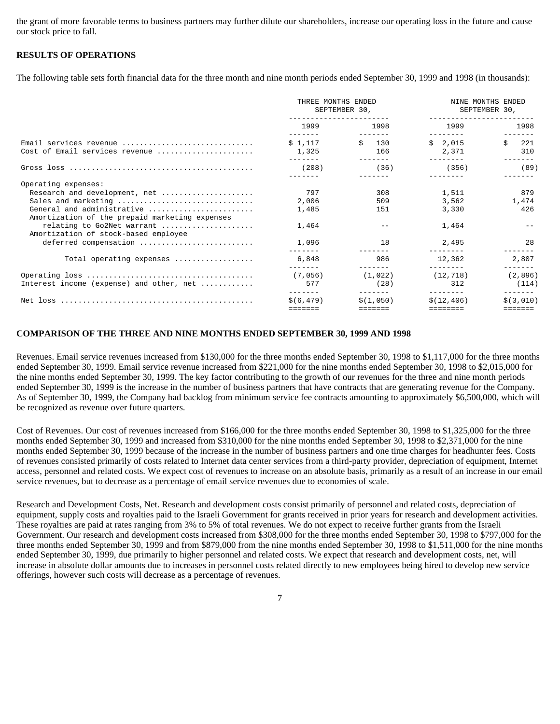the grant of more favorable terms to business partners may further dilute our shareholders, increase our operating loss in the future and cause our stock price to fall.

#### **RESULTS OF OPERATIONS**

The following table sets forth financial data for the three month and nine month periods ended September 30, 1999 and 1998 (in thousands):

|                                                                                                                                                                                                                                                                                        | THREE MONTHS ENDED<br>SEPTEMBER 30,              |                                 | NINE MONTHS ENDED<br>SEPTEMBER 30,                  |                                    |
|----------------------------------------------------------------------------------------------------------------------------------------------------------------------------------------------------------------------------------------------------------------------------------------|--------------------------------------------------|---------------------------------|-----------------------------------------------------|------------------------------------|
|                                                                                                                                                                                                                                                                                        | 1999<br>-------                                  | 1998                            | 1999<br>--------                                    | 1998                               |
| Email services revenue<br>Cost of Email services revenue                                                                                                                                                                                                                               | \$1.117<br>1,325                                 | \$ 130<br>166                   | \$2.015<br>2,371                                    | Ŝ.<br>221<br>310                   |
|                                                                                                                                                                                                                                                                                        | (208)                                            | (36)                            | (356)                                               | (89)                               |
| Operating expenses:<br>Research and development, net<br>Sales and marketing<br>General and administrative<br>Amortization of the prepaid marketing expenses<br>relating to Go2Net warrant<br>Amortization of stock-based employee<br>deferred compensation<br>Total operating expenses | 797<br>2,006<br>1,485<br>1,464<br>1,096<br>6,848 | 308<br>509<br>151<br>18<br>986  | 1,511<br>3,562<br>3,330<br>1,464<br>2,495<br>12,362 | 879<br>1,474<br>426<br>28<br>2,807 |
| Interest income (expense) and other, net                                                                                                                                                                                                                                               | (7,056)<br>577                                   | (1, 022)<br>(28)                | (12, 718)<br>312                                    | (2, 896)<br>(114)                  |
|                                                                                                                                                                                                                                                                                        | -------<br>\$ (6.479)<br>=======                 | -------<br>\$(1.050)<br>------- | ---------<br>\$(12.406)<br>========                 | -------<br>\$ (3,010)<br>-------   |

#### **COMPARISON OF THE THREE AND NINE MONTHS ENDED SEPTEMBER 30, 1999 AND 1998**

Revenues. Email service revenues increased from \$130,000 for the three months ended September 30, 1998 to \$1,117,000 for the three months ended September 30, 1999. Email service revenue increased from \$221,000 for the nine months ended September 30, 1998 to \$2,015,000 for the nine months ended September 30, 1999. The key factor contributing to the growth of our revenues for the three and nine month periods ended September 30, 1999 is the increase in the number of business partners that have contracts that are generating revenue for the Company. As of September 30, 1999, the Company had backlog from minimum service fee contracts amounting to approximately \$6,500,000, which will be recognized as revenue over future quarters.

Cost of Revenues. Our cost of revenues increased from \$166,000 for the three months ended September 30, 1998 to \$1,325,000 for the three months ended September 30, 1999 and increased from \$310,000 for the nine months ended September 30, 1998 to \$2,371,000 for the nine months ended September 30, 1999 because of the increase in the number of business partners and one time charges for headhunter fees. Costs of revenues consisted primarily of costs related to Internet data center services from a third-party provider, depreciation of equipment, Internet access, personnel and related costs. We expect cost of revenues to increase on an absolute basis, primarily as a result of an increase in our email service revenues, but to decrease as a percentage of email service revenues due to economies of scale.

Research and Development Costs, Net. Research and development costs consist primarily of personnel and related costs, depreciation of equipment, supply costs and royalties paid to the Israeli Government for grants received in prior years for research and development activities. These royalties are paid at rates ranging from 3% to 5% of total revenues. We do not expect to receive further grants from the Israeli Government. Our research and development costs increased from \$308,000 for the three months ended September 30, 1998 to \$797,000 for the three months ended September 30, 1999 and from \$879,000 from the nine months ended September 30, 1998 to \$1,511,000 for the nine months ended September 30, 1999, due primarily to higher personnel and related costs. We expect that research and development costs, net, will increase in absolute dollar amounts due to increases in personnel costs related directly to new employees being hired to develop new service offerings, however such costs will decrease as a percentage of revenues.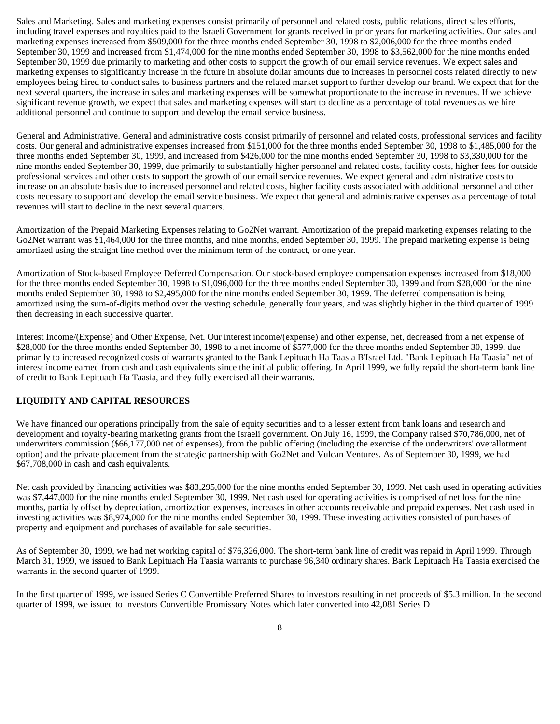Sales and Marketing. Sales and marketing expenses consist primarily of personnel and related costs, public relations, direct sales efforts, including travel expenses and royalties paid to the Israeli Government for grants received in prior years for marketing activities. Our sales and marketing expenses increased from \$509,000 for the three months ended September 30, 1998 to \$2,006,000 for the three months ended September 30, 1999 and increased from \$1,474,000 for the nine months ended September 30, 1998 to \$3,562,000 for the nine months ended September 30, 1999 due primarily to marketing and other costs to support the growth of our email service revenues. We expect sales and marketing expenses to significantly increase in the future in absolute dollar amounts due to increases in personnel costs related directly to new employees being hired to conduct sales to business partners and the related market support to further develop our brand. We expect that for the next several quarters, the increase in sales and marketing expenses will be somewhat proportionate to the increase in revenues. If we achieve significant revenue growth, we expect that sales and marketing expenses will start to decline as a percentage of total revenues as we hire additional personnel and continue to support and develop the email service business.

General and Administrative. General and administrative costs consist primarily of personnel and related costs, professional services and facility costs. Our general and administrative expenses increased from \$151,000 for the three months ended September 30, 1998 to \$1,485,000 for the three months ended September 30, 1999, and increased from \$426,000 for the nine months ended September 30, 1998 to \$3,330,000 for the nine months ended September 30, 1999, due primarily to substantially higher personnel and related costs, facility costs, higher fees for outside professional services and other costs to support the growth of our email service revenues. We expect general and administrative costs to increase on an absolute basis due to increased personnel and related costs, higher facility costs associated with additional personnel and other costs necessary to support and develop the email service business. We expect that general and administrative expenses as a percentage of total revenues will start to decline in the next several quarters.

Amortization of the Prepaid Marketing Expenses relating to Go2Net warrant. Amortization of the prepaid marketing expenses relating to the Go2Net warrant was \$1,464,000 for the three months, and nine months, ended September 30, 1999. The prepaid marketing expense is being amortized using the straight line method over the minimum term of the contract, or one year.

Amortization of Stock-based Employee Deferred Compensation. Our stock-based employee compensation expenses increased from \$18,000 for the three months ended September 30, 1998 to \$1,096,000 for the three months ended September 30, 1999 and from \$28,000 for the nine months ended September 30, 1998 to \$2,495,000 for the nine months ended September 30, 1999. The deferred compensation is being amortized using the sum-of-digits method over the vesting schedule, generally four years, and was slightly higher in the third quarter of 1999 then decreasing in each successive quarter.

Interest Income/(Expense) and Other Expense, Net. Our interest income/(expense) and other expense, net, decreased from a net expense of \$28,000 for the three months ended September 30, 1998 to a net income of \$577,000 for the three months ended September 30, 1999, due primarily to increased recognized costs of warrants granted to the Bank Lepituach Ha Taasia B'Israel Ltd. "Bank Lepituach Ha Taasia" net of interest income earned from cash and cash equivalents since the initial public offering. In April 1999, we fully repaid the short-term bank line of credit to Bank Lepituach Ha Taasia, and they fully exercised all their warrants.

#### **LIQUIDITY AND CAPITAL RESOURCES**

We have financed our operations principally from the sale of equity securities and to a lesser extent from bank loans and research and development and royalty-bearing marketing grants from the Israeli government. On July 16, 1999, the Company raised \$70,786,000, net of underwriters commission (\$66,177,000 net of expenses), from the public offering (including the exercise of the underwriters' overallotment option) and the private placement from the strategic partnership with Go2Net and Vulcan Ventures. As of September 30, 1999, we had \$67,708,000 in cash and cash equivalents.

Net cash provided by financing activities was \$83,295,000 for the nine months ended September 30, 1999. Net cash used in operating activities was \$7,447,000 for the nine months ended September 30, 1999. Net cash used for operating activities is comprised of net loss for the nine months, partially offset by depreciation, amortization expenses, increases in other accounts receivable and prepaid expenses. Net cash used in investing activities was \$8,974,000 for the nine months ended September 30, 1999. These investing activities consisted of purchases of property and equipment and purchases of available for sale securities.

As of September 30, 1999, we had net working capital of \$76,326,000. The short-term bank line of credit was repaid in April 1999. Through March 31, 1999, we issued to Bank Lepituach Ha Taasia warrants to purchase 96,340 ordinary shares. Bank Lepituach Ha Taasia exercised the warrants in the second quarter of 1999.

In the first quarter of 1999, we issued Series C Convertible Preferred Shares to investors resulting in net proceeds of \$5.3 million. In the second quarter of 1999, we issued to investors Convertible Promissory Notes which later converted into 42,081 Series D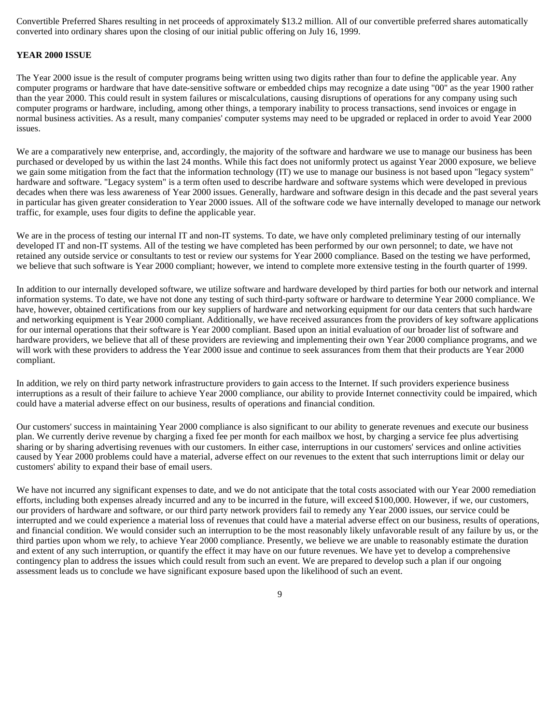Convertible Preferred Shares resulting in net proceeds of approximately \$13.2 million. All of our convertible preferred shares automatically converted into ordinary shares upon the closing of our initial public offering on July 16, 1999.

#### **YEAR 2000 ISSUE**

The Year 2000 issue is the result of computer programs being written using two digits rather than four to define the applicable year. Any computer programs or hardware that have date-sensitive software or embedded chips may recognize a date using "00" as the year 1900 rather than the year 2000. This could result in system failures or miscalculations, causing disruptions of operations for any company using such computer programs or hardware, including, among other things, a temporary inability to process transactions, send invoices or engage in normal business activities. As a result, many companies' computer systems may need to be upgraded or replaced in order to avoid Year 2000 issues.

We are a comparatively new enterprise, and, accordingly, the majority of the software and hardware we use to manage our business has been purchased or developed by us within the last 24 months. While this fact does not uniformly protect us against Year 2000 exposure, we believe we gain some mitigation from the fact that the information technology (IT) we use to manage our business is not based upon "legacy system" hardware and software. "Legacy system" is a term often used to describe hardware and software systems which were developed in previous decades when there was less awareness of Year 2000 issues. Generally, hardware and software design in this decade and the past several years in particular has given greater consideration to Year 2000 issues. All of the software code we have internally developed to manage our network traffic, for example, uses four digits to define the applicable year.

We are in the process of testing our internal IT and non-IT systems. To date, we have only completed preliminary testing of our internally developed IT and non-IT systems. All of the testing we have completed has been performed by our own personnel; to date, we have not retained any outside service or consultants to test or review our systems for Year 2000 compliance. Based on the testing we have performed, we believe that such software is Year 2000 compliant; however, we intend to complete more extensive testing in the fourth quarter of 1999.

In addition to our internally developed software, we utilize software and hardware developed by third parties for both our network and internal information systems. To date, we have not done any testing of such third-party software or hardware to determine Year 2000 compliance. We have, however, obtained certifications from our key suppliers of hardware and networking equipment for our data centers that such hardware and networking equipment is Year 2000 compliant. Additionally, we have received assurances from the providers of key software applications for our internal operations that their software is Year 2000 compliant. Based upon an initial evaluation of our broader list of software and hardware providers, we believe that all of these providers are reviewing and implementing their own Year 2000 compliance programs, and we will work with these providers to address the Year 2000 issue and continue to seek assurances from them that their products are Year 2000 compliant.

In addition, we rely on third party network infrastructure providers to gain access to the Internet. If such providers experience business interruptions as a result of their failure to achieve Year 2000 compliance, our ability to provide Internet connectivity could be impaired, which could have a material adverse effect on our business, results of operations and financial condition.

Our customers' success in maintaining Year 2000 compliance is also significant to our ability to generate revenues and execute our business plan. We currently derive revenue by charging a fixed fee per month for each mailbox we host, by charging a service fee plus advertising sharing or by sharing advertising revenues with our customers. In either case, interruptions in our customers' services and online activities caused by Year 2000 problems could have a material, adverse effect on our revenues to the extent that such interruptions limit or delay our customers' ability to expand their base of email users.

We have not incurred any significant expenses to date, and we do not anticipate that the total costs associated with our Year 2000 remediation efforts, including both expenses already incurred and any to be incurred in the future, will exceed \$100,000. However, if we, our customers, our providers of hardware and software, or our third party network providers fail to remedy any Year 2000 issues, our service could be interrupted and we could experience a material loss of revenues that could have a material adverse effect on our business, results of operations, and financial condition. We would consider such an interruption to be the most reasonably likely unfavorable result of any failure by us, or the third parties upon whom we rely, to achieve Year 2000 compliance. Presently, we believe we are unable to reasonably estimate the duration and extent of any such interruption, or quantify the effect it may have on our future revenues. We have yet to develop a comprehensive contingency plan to address the issues which could result from such an event. We are prepared to develop such a plan if our ongoing assessment leads us to conclude we have significant exposure based upon the likelihood of such an event.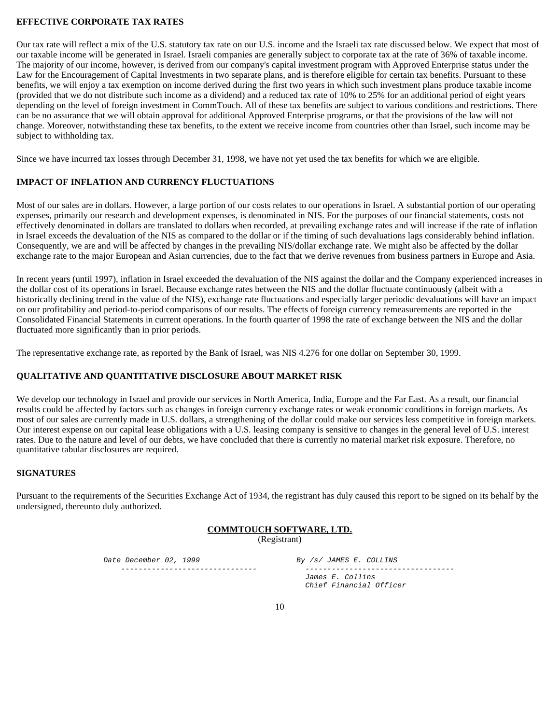#### **EFFECTIVE CORPORATE TAX RATES**

Our tax rate will reflect a mix of the U.S. statutory tax rate on our U.S. income and the Israeli tax rate discussed below. We expect that most of our taxable income will be generated in Israel. Israeli companies are generally subject to corporate tax at the rate of 36% of taxable income. The majority of our income, however, is derived from our company's capital investment program with Approved Enterprise status under the Law for the Encouragement of Capital Investments in two separate plans, and is therefore eligible for certain tax benefits. Pursuant to these benefits, we will enjoy a tax exemption on income derived during the first two years in which such investment plans produce taxable income (provided that we do not distribute such income as a dividend) and a reduced tax rate of 10% to 25% for an additional period of eight years depending on the level of foreign investment in CommTouch. All of these tax benefits are subject to various conditions and restrictions. There can be no assurance that we will obtain approval for additional Approved Enterprise programs, or that the provisions of the law will not change. Moreover, notwithstanding these tax benefits, to the extent we receive income from countries other than Israel, such income may be subject to withholding tax.

Since we have incurred tax losses through December 31, 1998, we have not yet used the tax benefits for which we are eligible.

#### **IMPACT OF INFLATION AND CURRENCY FLUCTUATIONS**

Most of our sales are in dollars. However, a large portion of our costs relates to our operations in Israel. A substantial portion of our operating expenses, primarily our research and development expenses, is denominated in NIS. For the purposes of our financial statements, costs not effectively denominated in dollars are translated to dollars when recorded, at prevailing exchange rates and will increase if the rate of inflation in Israel exceeds the devaluation of the NIS as compared to the dollar or if the timing of such devaluations lags considerably behind inflation. Consequently, we are and will be affected by changes in the prevailing NIS/dollar exchange rate. We might also be affected by the dollar exchange rate to the major European and Asian currencies, due to the fact that we derive revenues from business partners in Europe and Asia.

In recent years (until 1997), inflation in Israel exceeded the devaluation of the NIS against the dollar and the Company experienced increases in the dollar cost of its operations in Israel. Because exchange rates between the NIS and the dollar fluctuate continuously (albeit with a historically declining trend in the value of the NIS), exchange rate fluctuations and especially larger periodic devaluations will have an impact on our profitability and period-to-period comparisons of our results. The effects of foreign currency remeasurements are reported in the Consolidated Financial Statements in current operations. In the fourth quarter of 1998 the rate of exchange between the NIS and the dollar fluctuated more significantly than in prior periods.

The representative exchange rate, as reported by the Bank of Israel, was NIS 4.276 for one dollar on September 30, 1999.

#### **QUALITATIVE AND QUANTITATIVE DISCLOSURE ABOUT MARKET RISK**

We develop our technology in Israel and provide our services in North America, India, Europe and the Far East. As a result, our financial results could be affected by factors such as changes in foreign currency exchange rates or weak economic conditions in foreign markets. As most of our sales are currently made in U.S. dollars, a strengthening of the dollar could make our services less competitive in foreign markets. Our interest expense on our capital lease obligations with a U.S. leasing company is sensitive to changes in the general level of U.S. interest rates. Due to the nature and level of our debts, we have concluded that there is currently no material market risk exposure. Therefore, no quantitative tabular disclosures are required.

#### **SIGNATURES**

Pursuant to the requirements of the Securities Exchange Act of 1934, the registrant has duly caused this report to be signed on its behalf by the undersigned, thereunto duly authorized.

#### **COMMTOUCH SOFTWARE, LTD.**  (Registrant)

Date December 02, 1999 By /s/ JAMES E. COLLINS ------------------------------- ----------------------------------

 James E. Collins Chief Financial Officer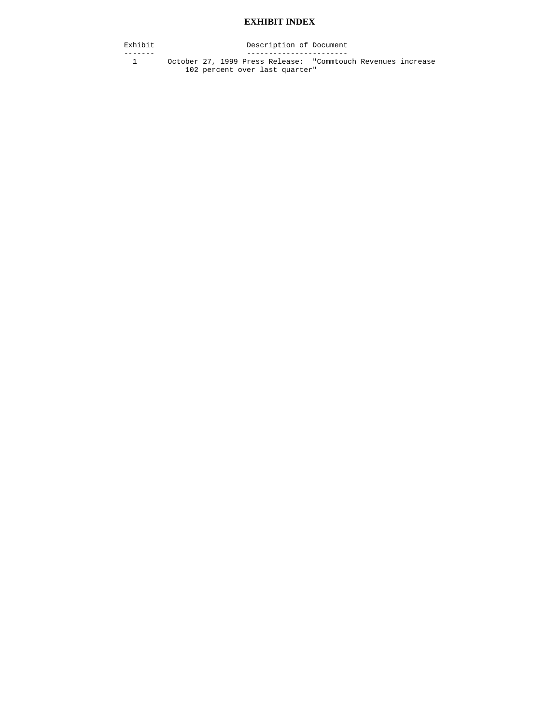#### **EXHIBIT INDEX**

Exhibit Description of Document

------- ----------------------- 1 October 27, 1999 Press Release: "Commtouch Revenues increase 102 percent over last quarter"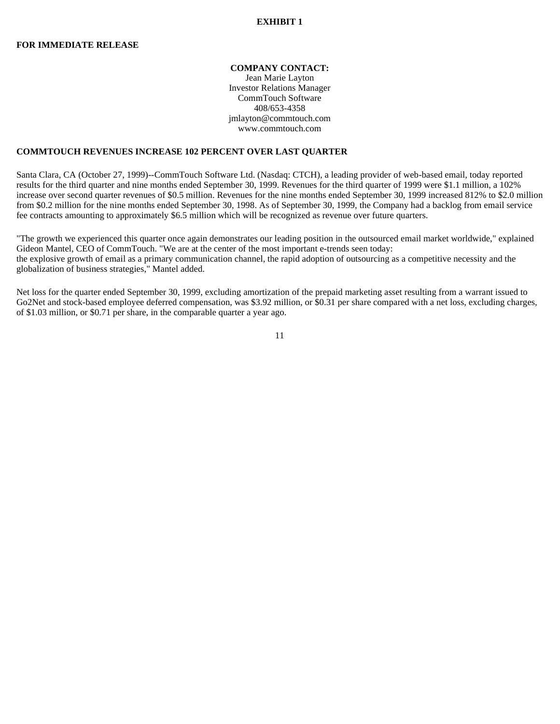#### **EXHIBIT 1**

#### **COMPANY CONTACT:**

Jean Marie Layton Investor Relations Manager CommTouch Software 408/653-4358 jmlayton@commtouch.com www.commtouch.com

#### **COMMTOUCH REVENUES INCREASE 102 PERCENT OVER LAST QUARTER**

Santa Clara, CA (October 27, 1999)--CommTouch Software Ltd. (Nasdaq: CTCH), a leading provider of web-based email, today reported results for the third quarter and nine months ended September 30, 1999. Revenues for the third quarter of 1999 were \$1.1 million, a 102% increase over second quarter revenues of \$0.5 million. Revenues for the nine months ended September 30, 1999 increased 812% to \$2.0 million from \$0.2 million for the nine months ended September 30, 1998. As of September 30, 1999, the Company had a backlog from email service fee contracts amounting to approximately \$6.5 million which will be recognized as revenue over future quarters.

"The growth we experienced this quarter once again demonstrates our leading position in the outsourced email market worldwide," explained Gideon Mantel, CEO of CommTouch. "We are at the center of the most important e-trends seen today: the explosive growth of email as a primary communication channel, the rapid adoption of outsourcing as a competitive necessity and the globalization of business strategies," Mantel added.

Net loss for the quarter ended September 30, 1999, excluding amortization of the prepaid marketing asset resulting from a warrant issued to Go2Net and stock-based employee deferred compensation, was \$3.92 million, or \$0.31 per share compared with a net loss, excluding charges, of \$1.03 million, or \$0.71 per share, in the comparable quarter a year ago.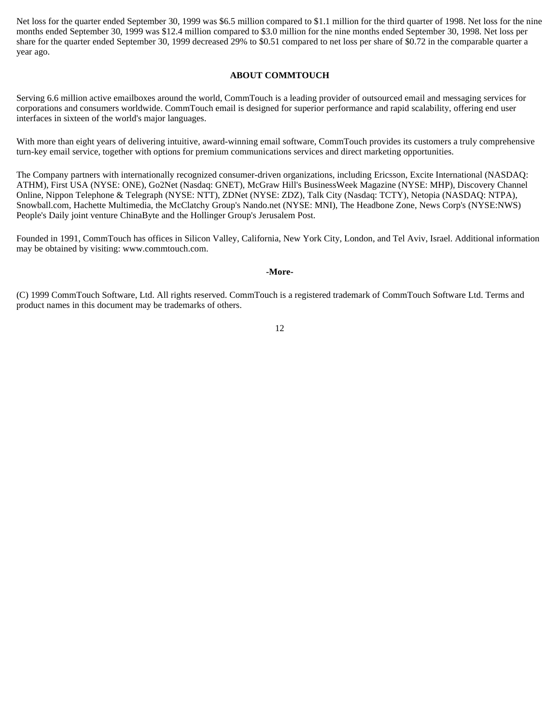Net loss for the quarter ended September 30, 1999 was \$6.5 million compared to \$1.1 million for the third quarter of 1998. Net loss for the nine months ended September 30, 1999 was \$12.4 million compared to \$3.0 million for the nine months ended September 30, 1998. Net loss per share for the quarter ended September 30, 1999 decreased 29% to \$0.51 compared to net loss per share of \$0.72 in the comparable quarter a year ago.

#### **ABOUT COMMTOUCH**

Serving 6.6 million active emailboxes around the world, CommTouch is a leading provider of outsourced email and messaging services for corporations and consumers worldwide. CommTouch email is designed for superior performance and rapid scalability, offering end user interfaces in sixteen of the world's major languages.

With more than eight years of delivering intuitive, award-winning email software, CommTouch provides its customers a truly comprehensive turn-key email service, together with options for premium communications services and direct marketing opportunities.

The Company partners with internationally recognized consumer-driven organizations, including Ericsson, Excite International (NASDAQ: ATHM), First USA (NYSE: ONE), Go2Net (Nasdaq: GNET), McGraw Hill's BusinessWeek Magazine (NYSE: MHP), Discovery Channel Online, Nippon Telephone & Telegraph (NYSE: NTT), ZDNet (NYSE: ZDZ), Talk City (Nasdaq: TCTY), Netopia (NASDAQ: NTPA), Snowball.com, Hachette Multimedia, the McClatchy Group's Nando.net (NYSE: MNI), The Headbone Zone, News Corp's (NYSE:NWS) People's Daily joint venture ChinaByte and the Hollinger Group's Jerusalem Post.

Founded in 1991, CommTouch has offices in Silicon Valley, California, New York City, London, and Tel Aviv, Israel. Additional information may be obtained by visiting: www.commtouch.com.

#### **-More-**

(C) 1999 CommTouch Software, Ltd. All rights reserved. CommTouch is a registered trademark of CommTouch Software Ltd. Terms and product names in this document may be trademarks of others.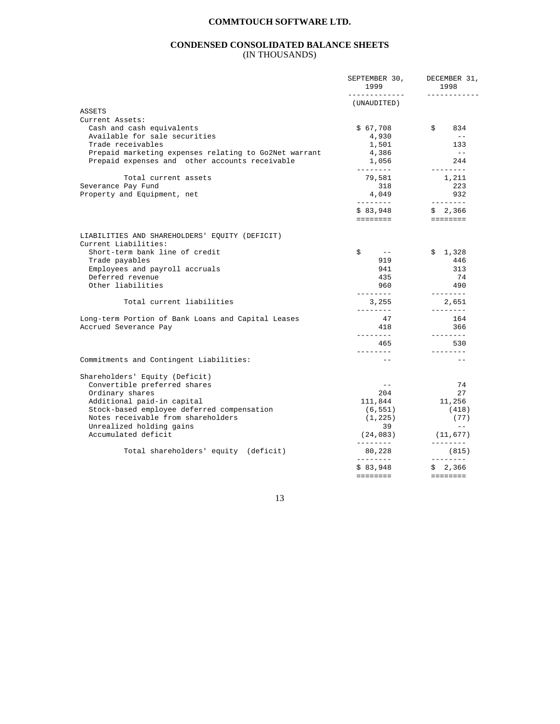#### **CONDENSED CONSOLIDATED BALANCE SHEETS**  (IN THOUSANDS)

|                                                                | SEPTEMBER 30,<br>1999 | DECEMBER 31,<br>1998<br>$- - - - - -$                                                                                                                                                                                                                                                                                                                                                                                                                                                             |
|----------------------------------------------------------------|-----------------------|---------------------------------------------------------------------------------------------------------------------------------------------------------------------------------------------------------------------------------------------------------------------------------------------------------------------------------------------------------------------------------------------------------------------------------------------------------------------------------------------------|
|                                                                | (UNAUDITED)           |                                                                                                                                                                                                                                                                                                                                                                                                                                                                                                   |
| ASSETS                                                         |                       |                                                                                                                                                                                                                                                                                                                                                                                                                                                                                                   |
| Current Assets:                                                |                       |                                                                                                                                                                                                                                                                                                                                                                                                                                                                                                   |
| Cash and cash equivalents<br>Available for sale securities     | \$67,708<br>4,930     | \$<br>834<br>$- -$                                                                                                                                                                                                                                                                                                                                                                                                                                                                                |
| Trade receivables                                              | 1,501                 | 133                                                                                                                                                                                                                                                                                                                                                                                                                                                                                               |
| Prepaid marketing expenses relating to Go2Net warrant          | 4,386                 | $\sim$ $-$                                                                                                                                                                                                                                                                                                                                                                                                                                                                                        |
| Prepaid expenses and other accounts receivable                 | 1,056                 | 244                                                                                                                                                                                                                                                                                                                                                                                                                                                                                               |
|                                                                | $- - - - - - - -$     | --------                                                                                                                                                                                                                                                                                                                                                                                                                                                                                          |
| Total current assets                                           | 79,581                | 1,211                                                                                                                                                                                                                                                                                                                                                                                                                                                                                             |
| Severance Pay Fund                                             | 318                   | 223                                                                                                                                                                                                                                                                                                                                                                                                                                                                                               |
| Property and Equipment, net                                    | 4,049                 | 932                                                                                                                                                                                                                                                                                                                                                                                                                                                                                               |
|                                                                | ---------             | --------                                                                                                                                                                                                                                                                                                                                                                                                                                                                                          |
|                                                                | \$83,948              | \$2,366                                                                                                                                                                                                                                                                                                                                                                                                                                                                                           |
|                                                                | ========              | <b>EEEEEEE</b>                                                                                                                                                                                                                                                                                                                                                                                                                                                                                    |
| LIABILITIES AND SHAREHOLDERS' EQUITY (DEFICIT)                 |                       |                                                                                                                                                                                                                                                                                                                                                                                                                                                                                                   |
| Current Liabilities:                                           |                       |                                                                                                                                                                                                                                                                                                                                                                                                                                                                                                   |
| Short-term bank line of credit                                 | \$<br>$- -$           | \$1,328                                                                                                                                                                                                                                                                                                                                                                                                                                                                                           |
| Trade payables                                                 | 919                   | 446                                                                                                                                                                                                                                                                                                                                                                                                                                                                                               |
| Employees and payroll accruals                                 | 941                   | 313                                                                                                                                                                                                                                                                                                                                                                                                                                                                                               |
| Deferred revenue                                               | 435                   | 74                                                                                                                                                                                                                                                                                                                                                                                                                                                                                                |
| Other liabilities                                              | 960                   | 490                                                                                                                                                                                                                                                                                                                                                                                                                                                                                               |
| Total current liabilities                                      | ---------<br>3,255    | --------<br>2,651                                                                                                                                                                                                                                                                                                                                                                                                                                                                                 |
|                                                                | ---------             | --------                                                                                                                                                                                                                                                                                                                                                                                                                                                                                          |
| Long-term Portion of Bank Loans and Capital Leases             | 47                    | 164                                                                                                                                                                                                                                                                                                                                                                                                                                                                                               |
| Accrued Severance Pay                                          | 418                   | 366                                                                                                                                                                                                                                                                                                                                                                                                                                                                                               |
|                                                                | ---------             | --------                                                                                                                                                                                                                                                                                                                                                                                                                                                                                          |
|                                                                | 465<br>________       | 530<br>--------                                                                                                                                                                                                                                                                                                                                                                                                                                                                                   |
| Commitments and Contingent Liabilities:                        | $\frac{1}{2}$         | $\frac{1}{2}$                                                                                                                                                                                                                                                                                                                                                                                                                                                                                     |
|                                                                |                       |                                                                                                                                                                                                                                                                                                                                                                                                                                                                                                   |
| Shareholders' Equity (Deficit)<br>Convertible preferred shares | $\equiv$ $\equiv$     | 74                                                                                                                                                                                                                                                                                                                                                                                                                                                                                                |
| Ordinary shares                                                | 204                   | 27                                                                                                                                                                                                                                                                                                                                                                                                                                                                                                |
| Additional paid-in capital                                     | 111,844               | 11,256                                                                                                                                                                                                                                                                                                                                                                                                                                                                                            |
| Stock-based employee deferred compensation                     | (6, 551)              | (418)                                                                                                                                                                                                                                                                                                                                                                                                                                                                                             |
| Notes receivable from shareholders                             | (1, 225)              | (77)                                                                                                                                                                                                                                                                                                                                                                                                                                                                                              |
| Unrealized holding gains                                       | 39                    | $\equiv$ $\equiv$                                                                                                                                                                                                                                                                                                                                                                                                                                                                                 |
| Accumulated deficit                                            | (24, 083)             | (11, 677)                                                                                                                                                                                                                                                                                                                                                                                                                                                                                         |
| Total shareholders' equity (deficit)                           | ---------<br>80,228   | --------<br>(815)                                                                                                                                                                                                                                                                                                                                                                                                                                                                                 |
|                                                                | ---------<br>\$83,948 | $\begin{array}{cccccccccc} \multicolumn{2}{c}{} & \multicolumn{2}{c}{} & \multicolumn{2}{c}{} & \multicolumn{2}{c}{} & \multicolumn{2}{c}{} & \multicolumn{2}{c}{} & \multicolumn{2}{c}{} & \multicolumn{2}{c}{} & \multicolumn{2}{c}{} & \multicolumn{2}{c}{} & \multicolumn{2}{c}{} & \multicolumn{2}{c}{} & \multicolumn{2}{c}{} & \multicolumn{2}{c}{} & \multicolumn{2}{c}{} & \multicolumn{2}{c}{} & \multicolumn{2}{c}{} & \multicolumn{2}{c}{} & \multicolumn{2}{c}{} & \mult$<br>\$2,366 |
|                                                                | <b>EEEEEEE</b>        | <b>EEEEEEE</b>                                                                                                                                                                                                                                                                                                                                                                                                                                                                                    |